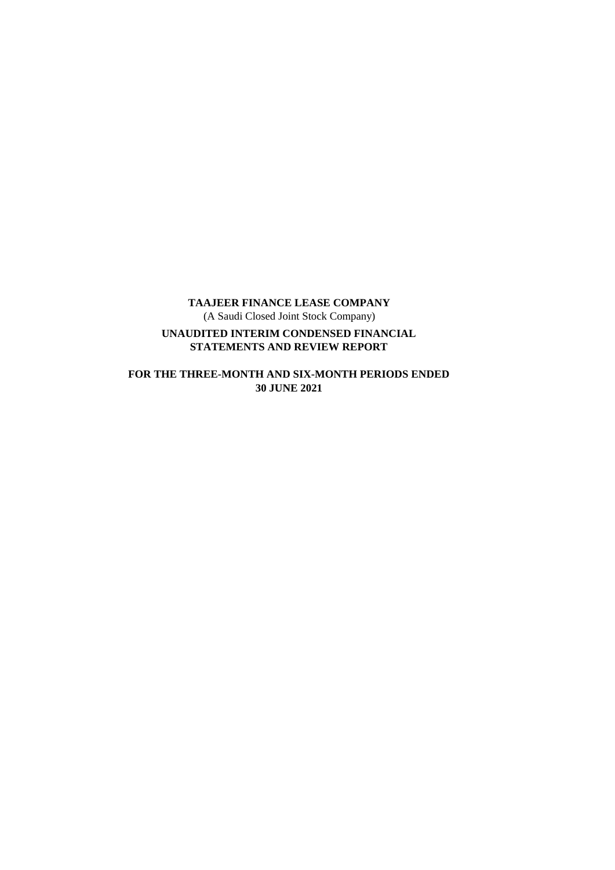**TAAJEER FINANCE LEASE COMPANY** (A Saudi Closed Joint Stock Company) **UNAUDITED INTERIM CONDENSED FINANCIAL STATEMENTS AND REVIEW REPORT** 

**FOR THE THREE-MONTH AND SIX-MONTH PERIODS ENDED 30 JUNE 2021**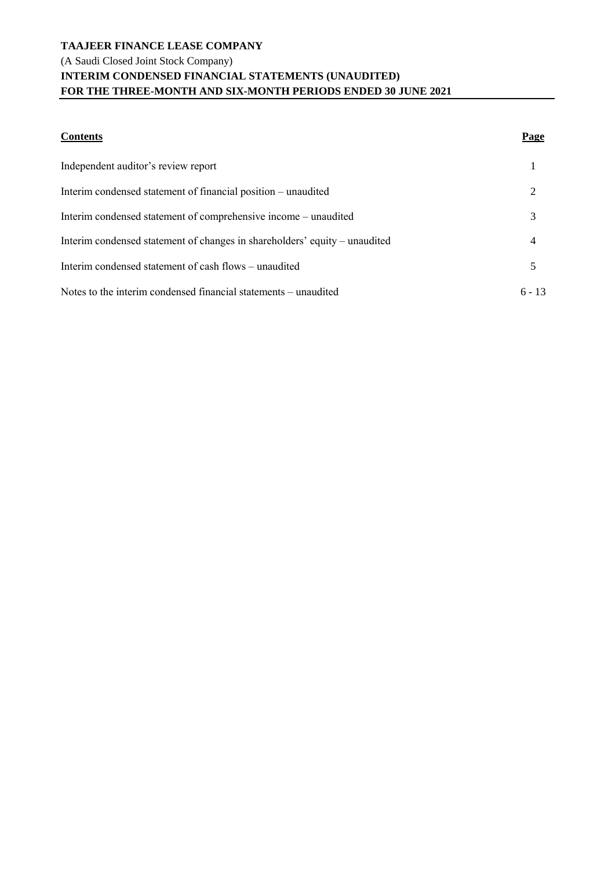# **TAAJEER FINANCE LEASE COMPANY** (A Saudi Closed Joint Stock Company) **INTERIM CONDENSED FINANCIAL STATEMENTS (UNAUDITED) FOR THE THREE-MONTH AND SIX-MONTH PERIODS ENDED 30 JUNE 2021**

| <b>Contents</b>                                                            | Page     |
|----------------------------------------------------------------------------|----------|
| Independent auditor's review report                                        |          |
| Interim condensed statement of financial position – unaudited              | 2        |
| Interim condensed statement of comprehensive income - unaudited            | 3        |
| Interim condensed statement of changes in shareholders' equity – unaudited | 4        |
| Interim condensed statement of cash flows – unaudited                      | 5        |
| Notes to the interim condensed financial statements – unaudited            | $6 - 13$ |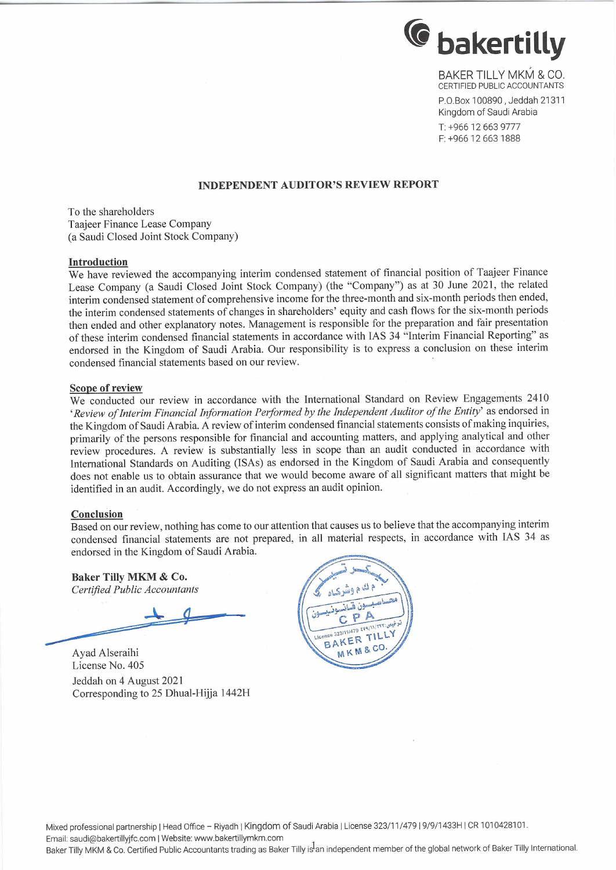

BAKER TILLY MKM & CO. CERTIFIED PUBLIC ACCOUNTANTS

P.O.Box 100890, Jeddah 21311 Kingdom of Saudi Arabia T: +966 12 663 9777 F: +966 12 663 1888

#### **INDEPENDENT AUDITOR'S REVIEW REPORT**

To the shareholders Taaieer Finance Lease Company (a Saudi Closed Joint Stock Company)

#### Introduction

We have reviewed the accompanying interim condensed statement of financial position of Taajeer Finance Lease Company (a Saudi Closed Joint Stock Company) (the "Company") as at 30 June 2021, the related interim condensed statement of comprehensive income for the three-month and six-month periods then ended, the interim condensed statements of changes in shareholders' equity and cash flows for the six-month periods then ended and other explanatory notes. Management is responsible for the preparation and fair presentation of these interim condensed financial statements in accordance with IAS 34 "Interim Financial Reporting" as endorsed in the Kingdom of Saudi Arabia. Our responsibility is to express a conclusion on these interim condensed financial statements based on our review.

#### **Scope of review**

We conducted our review in accordance with the International Standard on Review Engagements 2410 'Review of Interim Financial Information Performed by the Independent Auditor of the Entity' as endorsed in the Kingdom of Saudi Arabia. A review of interim condensed financial statements consists of making inquiries, primarily of the persons responsible for financial and accounting matters, and applying analytical and other review procedures. A review is substantially less in scope than an audit conducted in accordance with International Standards on Auditing (ISAs) as endorsed in the Kingdom of Saudi Arabia and consequently does not enable us to obtain assurance that we would become aware of all significant matters that might be identified in an audit. Accordingly, we do not express an audit opinion.

#### Conclusion

Based on our review, nothing has come to our attention that causes us to believe that the accompanying interim condensed financial statements are not prepared, in all material respects, in accordance with IAS 34 as endorsed in the Kingdom of Saudi Arabia.

Baker Tilly MKM & Co. Certified Public Accountants

Ayad Alseraihi License No. 405 Jeddah on 4 August 2021 Corresponding to 25 Dhual-Hijja 1442H



Mixed professional partnership | Head Office - Riyadh | Kingdom of Saudi Arabia | License 323/11/479 | 9/9/1433H | CR 1010428101.

Email: saudi@bakertillyjfc.com | Website: www.bakertillymkm.com

Baker Tilly MKM & Co. Certified Public Accountants trading as Baker Tilly is an independent member of the global network of Baker Tilly International.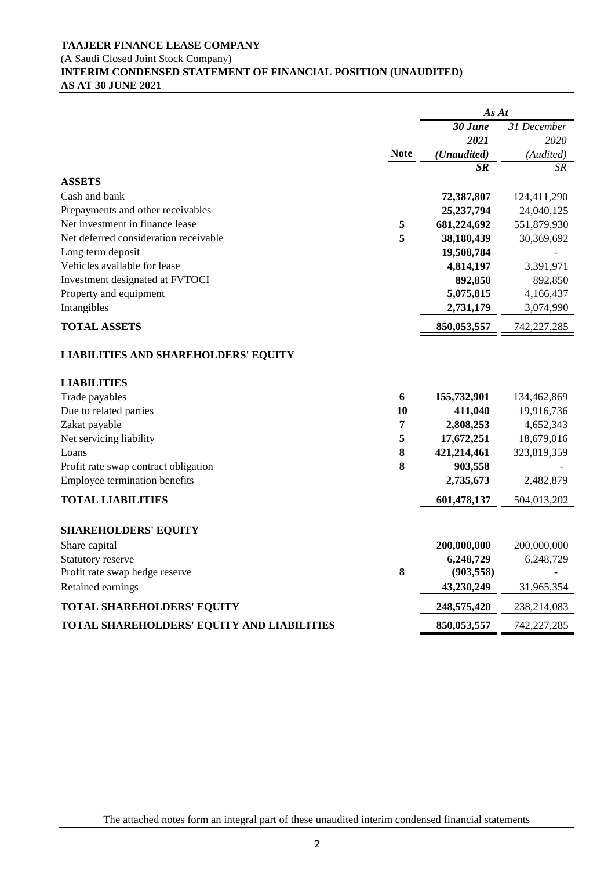### (A Saudi Closed Joint Stock Company)

## **INTERIM CONDENSED STATEMENT OF FINANCIAL POSITION (UNAUDITED) AS AT 30 JUNE 2021**

|                                             |                | As At        |             |
|---------------------------------------------|----------------|--------------|-------------|
|                                             |                | 30 June      | 31 December |
|                                             |                | 2021         | 2020        |
|                                             | <b>Note</b>    | (Unaudited)  | (Audited)   |
|                                             |                | SR           | SR.         |
| <b>ASSETS</b>                               |                |              |             |
| Cash and bank                               |                | 72,387,807   | 124,411,290 |
| Prepayments and other receivables           |                | 25, 237, 794 | 24,040,125  |
| Net investment in finance lease             | 5              | 681,224,692  | 551,879,930 |
| Net deferred consideration receivable       | 5              | 38,180,439   | 30,369,692  |
| Long term deposit                           |                | 19,508,784   |             |
| Vehicles available for lease                |                | 4,814,197    | 3,391,971   |
| Investment designated at FVTOCI             |                | 892,850      | 892,850     |
| Property and equipment                      |                | 5,075,815    | 4,166,437   |
| Intangibles                                 |                | 2,731,179    | 3,074,990   |
| <b>TOTAL ASSETS</b>                         |                | 850,053,557  | 742,227,285 |
| <b>LIABILITIES AND SHAREHOLDERS' EQUITY</b> |                |              |             |
| <b>LIABILITIES</b>                          |                |              |             |
| Trade payables                              | 6              | 155,732,901  | 134,462,869 |
| Due to related parties                      | 10             | 411,040      | 19,916,736  |
| Zakat payable                               | $\overline{7}$ | 2,808,253    | 4,652,343   |
| Net servicing liability                     | 5              | 17,672,251   | 18,679,016  |
| Loans                                       | 8              | 421,214,461  | 323,819,359 |
| Profit rate swap contract obligation        | 8              | 903,558      |             |
| Employee termination benefits               |                | 2,735,673    | 2,482,879   |
| <b>TOTAL LIABILITIES</b>                    |                | 601,478,137  | 504,013,202 |
| <b>SHAREHOLDERS' EQUITY</b>                 |                |              |             |
| Share capital                               |                | 200,000,000  | 200,000,000 |
| Statutory reserve                           |                | 6,248,729    | 6,248,729   |
| Profit rate swap hedge reserve              | 8              | (903, 558)   |             |
| Retained earnings                           |                | 43,230,249   | 31,965,354  |
| <b>TOTAL SHAREHOLDERS' EQUITY</b>           |                | 248,575,420  | 238,214,083 |
| TOTAL SHAREHOLDERS' EQUITY AND LIABILITIES  |                | 850,053,557  | 742,227,285 |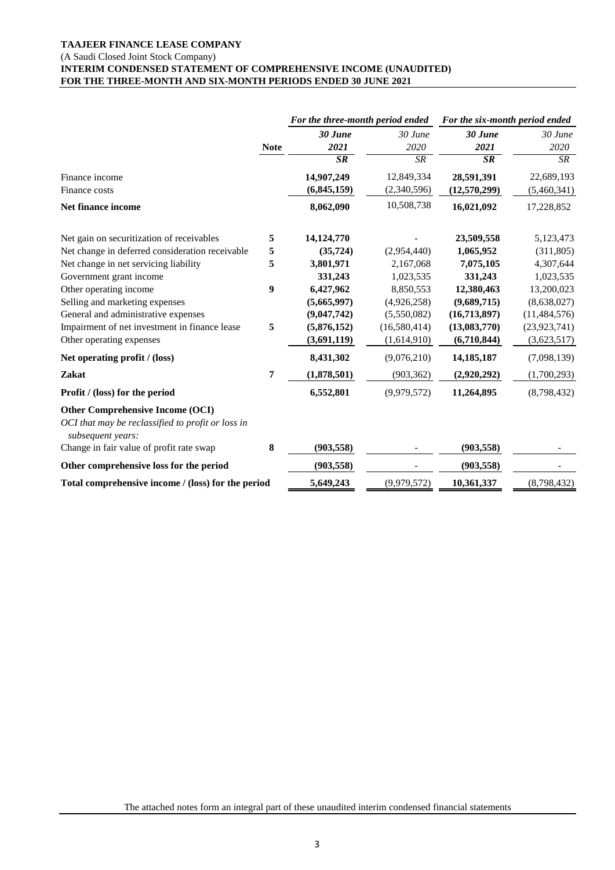#### **TAAJEER FINANCE LEASE COMPANY** (A Saudi Closed Joint Stock Company) **INTERIM CONDENSED STATEMENT OF COMPREHENSIVE INCOME (UNAUDITED) FOR THE THREE-MONTH AND SIX-MONTH PERIODS ENDED 30 JUNE 2021**

|                                                                                                                   |             | For the three-month period ended |                           | For the six-month period ended |                   |
|-------------------------------------------------------------------------------------------------------------------|-------------|----------------------------------|---------------------------|--------------------------------|-------------------|
|                                                                                                                   | <b>Note</b> | 30 June<br>2021                  | 30 June<br>2020           | 30 June<br>2021                | $30$ June<br>2020 |
|                                                                                                                   |             | $\overline{SR}$                  | $\overline{SR}$           | $S_{R}$                        | SR.               |
| Finance income                                                                                                    |             | 14,907,249                       |                           | 28,591,391                     | 22,689,193        |
| Finance costs                                                                                                     |             | (6,845,159)                      | 12,849,334<br>(2,340,596) | (12,570,299)                   | (5,460,341)       |
|                                                                                                                   |             |                                  | 10,508,738                |                                |                   |
| Net finance income                                                                                                |             | 8,062,090                        |                           | 16,021,092                     | 17,228,852        |
| Net gain on securitization of receivables                                                                         | 5           | 14,124,770                       |                           | 23,509,558                     | 5,123,473         |
| Net change in deferred consideration receivable                                                                   | 5           | (35, 724)                        | (2,954,440)               | 1,065,952                      | (311, 805)        |
| Net change in net servicing liability                                                                             | 5           | 3,801,971                        | 2,167,068                 | 7,075,105                      | 4,307,644         |
| Government grant income                                                                                           |             | 331,243                          | 1,023,535                 | 331,243                        | 1,023,535         |
| Other operating income                                                                                            | 9           | 6,427,962                        | 8,850,553                 | 12,380,463                     | 13,200,023        |
| Selling and marketing expenses                                                                                    |             | (5,665,997)                      | (4,926,258)               | (9,689,715)                    | (8,638,027)       |
| General and administrative expenses                                                                               |             | (9,047,742)                      | (5,550,082)               | (16,713,897)                   | (11, 484, 576)    |
| Impairment of net investment in finance lease                                                                     | 5           | (5,876,152)                      | (16,580,414)              | (13,083,770)                   | (23, 923, 741)    |
| Other operating expenses                                                                                          |             | (3,691,119)                      | (1,614,910)               | (6,710,844)                    | (3,623,517)       |
| Net operating profit / (loss)                                                                                     |             | 8,431,302                        | (9,076,210)               | 14,185,187                     | (7,098,139)       |
| Zakat                                                                                                             | 7           | (1,878,501)                      | (903, 362)                | (2,920,292)                    | (1,700,293)       |
| Profit / (loss) for the period                                                                                    |             | 6,552,801                        | (9,979,572)               | 11,264,895                     | (8,798,432)       |
| <b>Other Comprehensive Income (OCI)</b><br>OCI that may be reclassified to profit or loss in<br>subsequent years: |             |                                  |                           |                                |                   |
| Change in fair value of profit rate swap                                                                          | 8           | (903, 558)                       |                           | (903, 558)                     |                   |
| Other comprehensive loss for the period                                                                           |             | (903, 558)                       |                           | (903, 558)                     |                   |
| Total comprehensive income / (loss) for the period                                                                |             | 5,649,243                        | (9,979,572)               | 10,361,337                     | (8,798,432)       |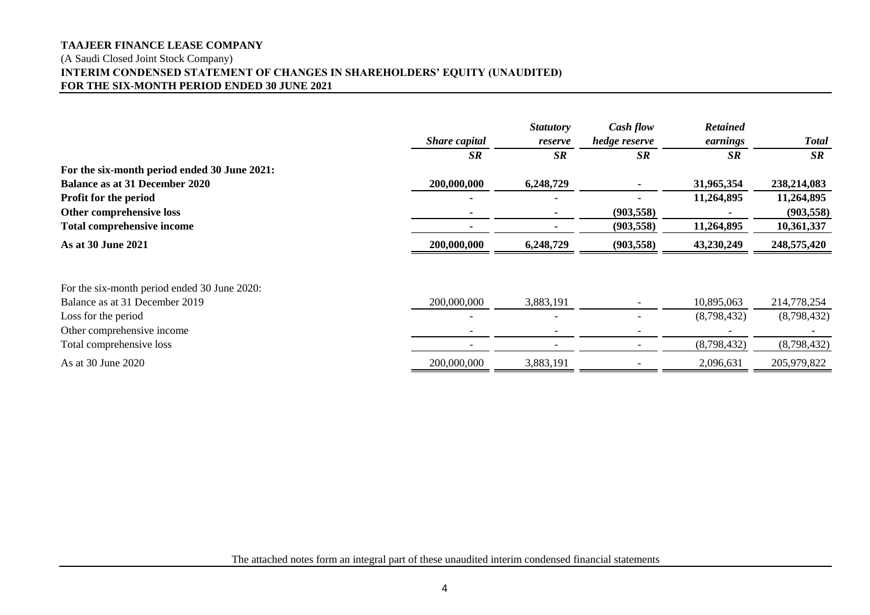## (A Saudi Closed Joint Stock Company) **INTERIM CONDENSED STATEMENT OF CHANGES IN SHAREHOLDERS' EQUITY (UNAUDITED) FOR THE SIX-MONTH PERIOD ENDED 30 JUNE 2021**

| Share capital | <b>Statutory</b><br>reserve | Cash flow<br>hedge reserve | <b>Retained</b><br>earnings | <b>Total</b> |
|---------------|-----------------------------|----------------------------|-----------------------------|--------------|
| SR            | SR                          | SR                         | SR                          | SR           |
|               |                             |                            |                             |              |
| 200,000,000   | 6,248,729                   |                            | 31,965,354                  | 238,214,083  |
|               |                             |                            | 11,264,895                  | 11,264,895   |
|               |                             | (903, 558)                 |                             | (903, 558)   |
|               |                             | (903, 558)                 | 11,264,895                  | 10,361,337   |
| 200,000,000   | 6,248,729                   | (903, 558)                 | 43,230,249                  | 248,575,420  |
|               |                             |                            |                             |              |
|               |                             |                            |                             |              |
| 200,000,000   | 3,883,191                   |                            | 10,895,063                  | 214,778,254  |
|               |                             |                            | (8,798,432)                 | (8,798,432)  |
|               |                             |                            |                             |              |
|               |                             |                            | (8,798,432)                 | (8,798,432)  |
| 200,000,000   | 3,883,191                   |                            | 2,096,631                   | 205,979,822  |
|               |                             |                            |                             |              |

The attached notes form an integral part of these unaudited interim condensed financial statements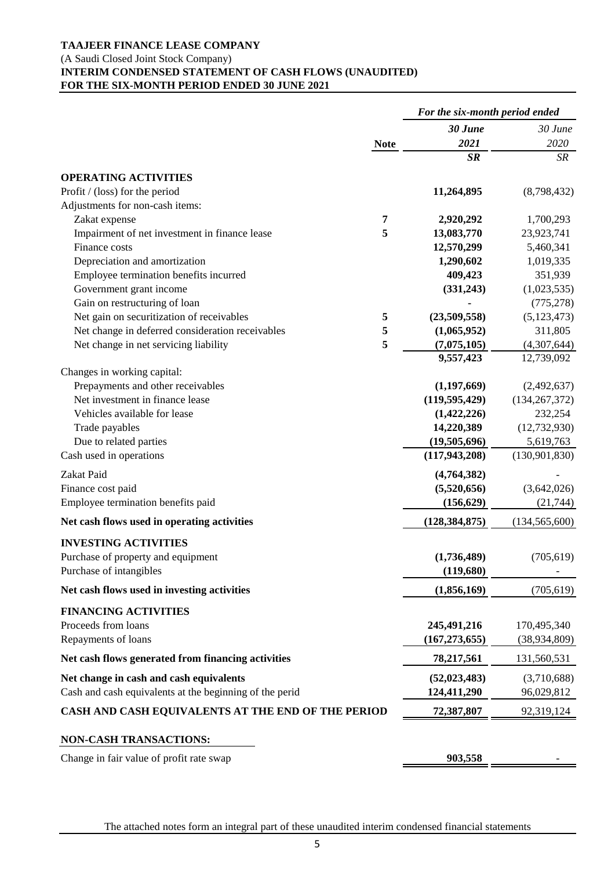### (A Saudi Closed Joint Stock Company) **INTERIM CONDENSED STATEMENT OF CASH FLOWS (UNAUDITED) FOR THE SIX-MONTH PERIOD ENDED 30 JUNE 2021**

|                                                         |             | For the six-month period ended |                 |
|---------------------------------------------------------|-------------|--------------------------------|-----------------|
|                                                         |             | 30 June                        | 30 June         |
|                                                         | <b>Note</b> | 2021                           | 2020            |
|                                                         |             | $S_{I\!\!R}$                   | SR              |
| <b>OPERATING ACTIVITIES</b>                             |             |                                |                 |
| Profit / (loss) for the period                          |             | 11,264,895                     | (8,798,432)     |
| Adjustments for non-cash items:                         |             |                                |                 |
| Zakat expense                                           | 7           | 2,920,292                      | 1,700,293       |
| Impairment of net investment in finance lease           | 5           | 13,083,770                     | 23,923,741      |
| Finance costs                                           |             | 12,570,299                     | 5,460,341       |
| Depreciation and amortization                           |             | 1,290,602                      | 1,019,335       |
| Employee termination benefits incurred                  |             | 409,423                        | 351,939         |
| Government grant income                                 |             | (331,243)                      | (1,023,535)     |
| Gain on restructuring of loan                           |             |                                | (775, 278)      |
| Net gain on securitization of receivables               | 5           | (23,509,558)                   | (5, 123, 473)   |
| Net change in deferred consideration receivables        | 5           | (1,065,952)                    | 311,805         |
| Net change in net servicing liability                   | 5           | (7,075,105)                    | (4,307,644)     |
|                                                         |             | 9,557,423                      | 12,739,092      |
| Changes in working capital:                             |             |                                |                 |
| Prepayments and other receivables                       |             | (1,197,669)                    | (2,492,637)     |
| Net investment in finance lease                         |             | (119, 595, 429)                | (134, 267, 372) |
| Vehicles available for lease                            |             | (1,422,226)                    | 232,254         |
| Trade payables                                          |             | 14,220,389                     | (12, 732, 930)  |
| Due to related parties                                  |             | (19,505,696)                   | 5,619,763       |
| Cash used in operations                                 |             | (117, 943, 208)                | (130,901,830)   |
| Zakat Paid                                              |             | (4,764,382)                    |                 |
| Finance cost paid                                       |             | (5,520,656)                    | (3,642,026)     |
| Employee termination benefits paid                      |             | (156, 629)                     | (21, 744)       |
| Net cash flows used in operating activities             |             | (128, 384, 875)                | (134, 565, 600) |
| <b>INVESTING ACTIVITIES</b>                             |             |                                |                 |
| Purchase of property and equipment                      |             | (1,736,489)                    | (705, 619)      |
| Purchase of intangibles                                 |             | (119,680)                      |                 |
| Net cash flows used in investing activities             |             | (1,856,169)                    | (705, 619)      |
| <b>FINANCING ACTIVITIES</b>                             |             |                                |                 |
| Proceeds from loans                                     |             | 245, 491, 216                  | 170,495,340     |
| Repayments of loans                                     |             | (167, 273, 655)                | (38,934,809)    |
| Net cash flows generated from financing activities      |             | 78,217,561                     | 131,560,531     |
|                                                         |             |                                |                 |
| Net change in cash and cash equivalents                 |             | (52, 023, 483)                 | (3,710,688)     |
| Cash and cash equivalents at the beginning of the perid |             | 124,411,290                    | 96,029,812      |
| CASH AND CASH EQUIVALENTS AT THE END OF THE PERIOD      |             | 72,387,807                     | 92,319,124      |
| NON-CASH TRANSACTIONS:                                  |             |                                |                 |
|                                                         |             |                                |                 |
| Change in fair value of profit rate swap                |             | 903,558                        |                 |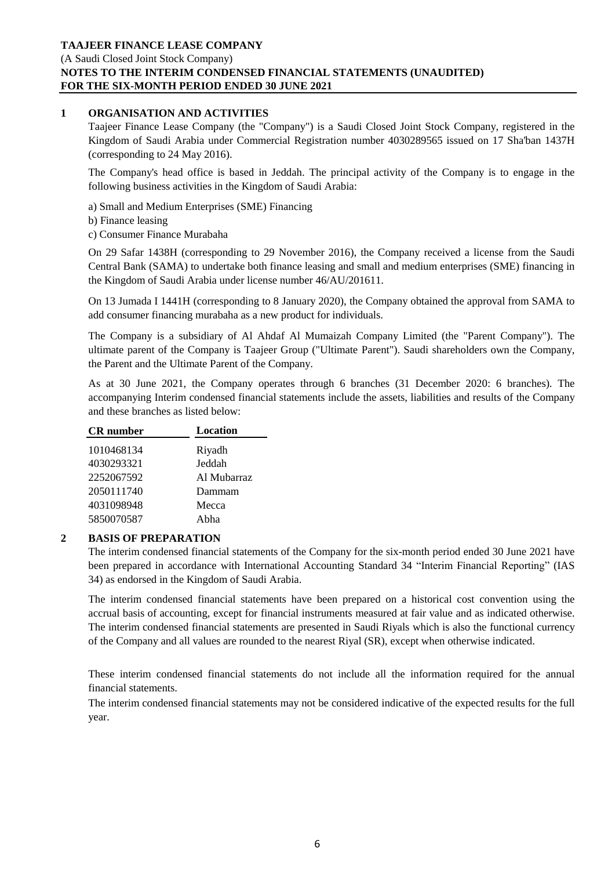### **TAAJEER FINANCE LEASE COMPANY** (A Saudi Closed Joint Stock Company) **NOTES TO THE INTERIM CONDENSED FINANCIAL STATEMENTS (UNAUDITED) FOR THE SIX-MONTH PERIOD ENDED 30 JUNE 2021**

### **1 ORGANISATION AND ACTIVITIES**

Taajeer Finance Lease Company (the "Company") is a Saudi Closed Joint Stock Company, registered in the Kingdom of Saudi Arabia under Commercial Registration number 4030289565 issued on 17 Sha'ban 1437H (corresponding to 24 May 2016).

The Company's head office is based in Jeddah. The principal activity of the Company is to engage in the following business activities in the Kingdom of Saudi Arabia:

a) Small and Medium Enterprises (SME) Financing

- b) Finance leasing
- c) Consumer Finance Murabaha

On 29 Safar 1438H (corresponding to 29 November 2016), the Company received a license from the Saudi Central Bank (SAMA) to undertake both finance leasing and small and medium enterprises (SME) financing in the Kingdom of Saudi Arabia under license number 46/AU/201611.

On 13 Jumada I 1441H (corresponding to 8 January 2020), the Company obtained the approval from SAMA to add consumer financing murabaha as a new product for individuals.

The Company is a subsidiary of Al Ahdaf Al Mumaizah Company Limited (the "Parent Company"). The ultimate parent of the Company is Taajeer Group ("Ultimate Parent"). Saudi shareholders own the Company, the Parent and the Ultimate Parent of the Company.

As at 30 June 2021, the Company operates through 6 branches (31 December 2020: 6 branches). The accompanying Interim condensed financial statements include the assets, liabilities and results of the Company and these branches as listed below:

| <b>CR</b> number | Location    |
|------------------|-------------|
| 1010468134       | Riyadh      |
| 4030293321       | Jeddah      |
| 2252067592       | Al Mubarraz |
| 2050111740       | Dammam      |
| 4031098948       | Mecca       |
| 5850070587       | Abha        |

### **2 BASIS OF PREPARATION**

The interim condensed financial statements of the Company for the six-month period ended 30 June 2021 have been prepared in accordance with International Accounting Standard 34 "Interim Financial Reporting" (IAS 34) as endorsed in the Kingdom of Saudi Arabia.

The interim condensed financial statements have been prepared on a historical cost convention using the accrual basis of accounting, except for financial instruments measured at fair value and as indicated otherwise. The interim condensed financial statements are presented in Saudi Riyals which is also the functional currency of the Company and all values are rounded to the nearest Riyal (SR), except when otherwise indicated.

These interim condensed financial statements do not include all the information required for the annual financial statements.

The interim condensed financial statements may not be considered indicative of the expected results for the full year.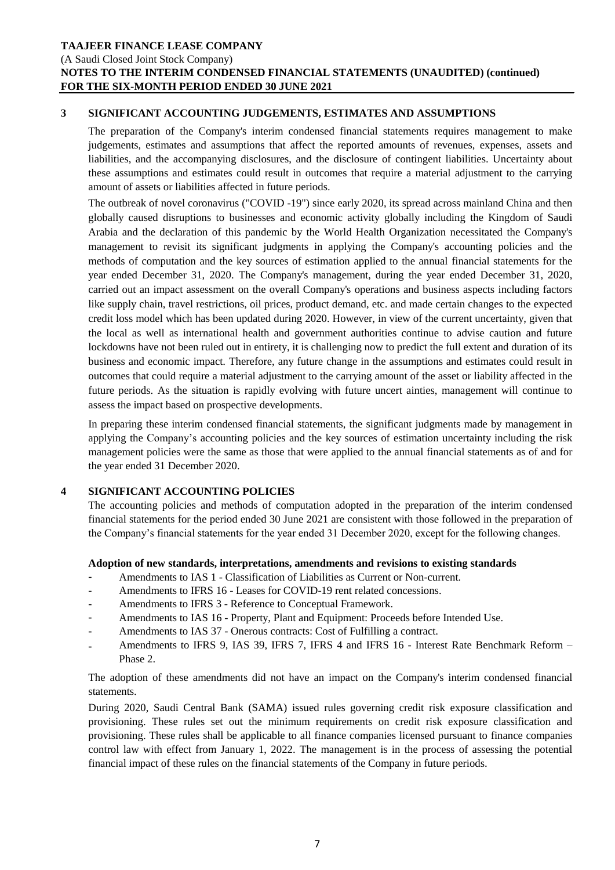(A Saudi Closed Joint Stock Company)

## **NOTES TO THE INTERIM CONDENSED FINANCIAL STATEMENTS (UNAUDITED) (continued) FOR THE SIX-MONTH PERIOD ENDED 30 JUNE 2021**

### **3 SIGNIFICANT ACCOUNTING JUDGEMENTS, ESTIMATES AND ASSUMPTIONS**

The preparation of the Company's interim condensed financial statements requires management to make judgements, estimates and assumptions that affect the reported amounts of revenues, expenses, assets and liabilities, and the accompanying disclosures, and the disclosure of contingent liabilities. Uncertainty about these assumptions and estimates could result in outcomes that require a material adjustment to the carrying amount of assets or liabilities affected in future periods.

The outbreak of novel coronavirus ("COVID -19") since early 2020, its spread across mainland China and then globally caused disruptions to businesses and economic activity globally including the Kingdom of Saudi Arabia and the declaration of this pandemic by the World Health Organization necessitated the Company's management to revisit its significant judgments in applying the Company's accounting policies and the methods of computation and the key sources of estimation applied to the annual financial statements for the year ended December 31, 2020. The Company's management, during the year ended December 31, 2020, carried out an impact assessment on the overall Company's operations and business aspects including factors like supply chain, travel restrictions, oil prices, product demand, etc. and made certain changes to the expected credit loss model which has been updated during 2020. However, in view of the current uncertainty, given that the local as well as international health and government authorities continue to advise caution and future lockdowns have not been ruled out in entirety, it is challenging now to predict the full extent and duration of its business and economic impact. Therefore, any future change in the assumptions and estimates could result in outcomes that could require a material adjustment to the carrying amount of the asset or liability affected in the future periods. As the situation is rapidly evolving with future uncert ainties, management will continue to assess the impact based on prospective developments.

In preparing these interim condensed financial statements, the significant judgments made by management in applying the Company's accounting policies and the key sources of estimation uncertainty including the risk management policies were the same as those that were applied to the annual financial statements as of and for the year ended 31 December 2020.

### **4 SIGNIFICANT ACCOUNTING POLICIES**

The accounting policies and methods of computation adopted in the preparation of the interim condensed financial statements for the period ended 30 June 2021 are consistent with those followed in the preparation of the Company's financial statements for the year ended 31 December 2020, except for the following changes.

### **Adoption of new standards, interpretations, amendments and revisions to existing standards**

- **-** Amendments to IAS 1 Classification of Liabilities as Current or Non-current.
- **-** Amendments to IFRS 16 Leases for COVID-19 rent related concessions.
- **-** Amendments to IFRS 3 Reference to Conceptual Framework.
- **-** Amendments to IAS 16 Property, Plant and Equipment: Proceeds before Intended Use.
- **-** Amendments to IAS 37 Onerous contracts: Cost of Fulfilling a contract.
- **-** Amendments to IFRS 9, IAS 39, IFRS 7, IFRS 4 and IFRS 16 - Interest Rate Benchmark Reform – Phase 2.

The adoption of these amendments did not have an impact on the Company's interim condensed financial statements.

During 2020, Saudi Central Bank (SAMA) issued rules governing credit risk exposure classification and provisioning. These rules set out the minimum requirements on credit risk exposure classification and provisioning. These rules shall be applicable to all finance companies licensed pursuant to finance companies control law with effect from January 1, 2022. The management is in the process of assessing the potential financial impact of these rules on the financial statements of the Company in future periods.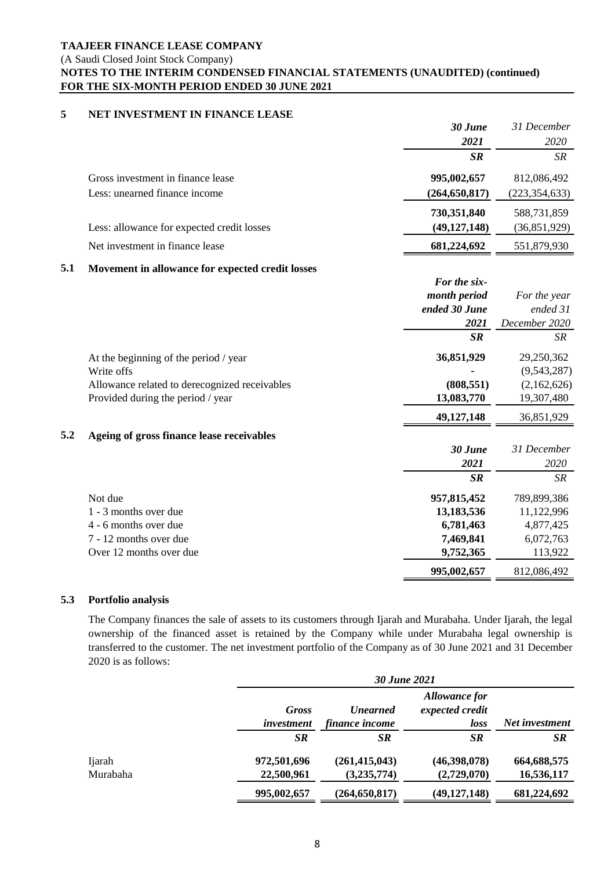(A Saudi Closed Joint Stock Company)

# **NOTES TO THE INTERIM CONDENSED FINANCIAL STATEMENTS (UNAUDITED) (continued) FOR THE SIX-MONTH PERIOD ENDED 30 JUNE 2021**

### **5 NET INVESTMENT IN FINANCE LEASE**

|                                                         | 30 June         | 31 December     |
|---------------------------------------------------------|-----------------|-----------------|
|                                                         | 2021            | 2020            |
|                                                         | SR              | <b>SR</b>       |
| Gross investment in finance lease                       | 995,002,657     | 812,086,492     |
| Less: unearned finance income                           | (264, 650, 817) | (223, 354, 633) |
|                                                         | 730,351,840     | 588,731,859     |
| Less: allowance for expected credit losses              | (49, 127, 148)  | (36, 851, 929)  |
| Net investment in finance lease                         | 681,224,692     | 551,879,930     |
| 5.1<br>Movement in allowance for expected credit losses |                 |                 |
|                                                         | For the six-    |                 |
|                                                         | month period    | For the year    |
|                                                         | ended 30 June   | ended 31        |
|                                                         | 2021            | December 2020   |
|                                                         | <b>SR</b>       | SR.             |
| At the beginning of the period / year                   | 36,851,929      | 29,250,362      |
| Write offs                                              |                 | (9,543,287)     |
| Allowance related to derecognized receivables           | (808, 551)      | (2,162,626)     |
| Provided during the period / year                       | 13,083,770      | 19,307,480      |
|                                                         | 49,127,148      | 36,851,929      |
| 5.2<br>Ageing of gross finance lease receivables        |                 |                 |

|                         | 30 June     | 31 December |
|-------------------------|-------------|-------------|
|                         | 2021        | <i>2020</i> |
|                         | SR          | <b>SR</b>   |
| Not due                 | 957,815,452 | 789,899,386 |
| 1 - 3 months over due   | 13,183,536  | 11,122,996  |
| 4 - 6 months over due   | 6,781,463   | 4,877,425   |
| 7 - 12 months over due  | 7,469,841   | 6,072,763   |
| Over 12 months over due | 9,752,365   | 113,922     |
|                         | 995,002,657 | 812,086,492 |

### **5.3 Portfolio analysis**

The Company finances the sale of assets to its customers through Ijarah and Murabaha. Under Ijarah, the legal ownership of the financed asset is retained by the Company while under Murabaha legal ownership is transferred to the customer. The net investment portfolio of the Company as of 30 June 2021 and 31 December 2020 is as follows:

|                    |                            | 30 June 2021                      |                                                 |                             |  |
|--------------------|----------------------------|-----------------------------------|-------------------------------------------------|-----------------------------|--|
|                    | <b>Gross</b><br>investment | <b>Unearned</b><br>finance income | <b>Allowance for</b><br>expected credit<br>loss | Net investment              |  |
|                    | <b>SR</b>                  | <b>SR</b>                         | <b>SR</b>                                       | <b>SR</b>                   |  |
| Ijarah<br>Murabaha | 972,501,696<br>22,500,961  | (261, 415, 043)<br>(3, 235, 774)  | (46,398,078)<br>(2,729,070)                     | 664, 688, 575<br>16,536,117 |  |
|                    | 995,002,657                | (264, 650, 817)                   | (49, 127, 148)                                  | 681,224,692                 |  |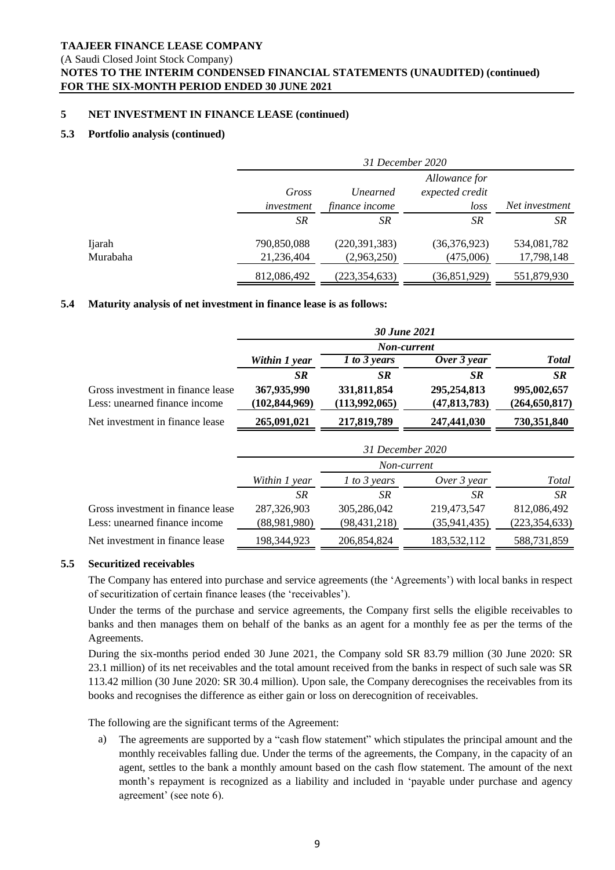(A Saudi Closed Joint Stock Company)

## **NOTES TO THE INTERIM CONDENSED FINANCIAL STATEMENTS (UNAUDITED) (continued) FOR THE SIX-MONTH PERIOD ENDED 30 JUNE 2021**

### **5 NET INVESTMENT IN FINANCE LEASE (continued)**

#### **5.3 Portfolio analysis (continued)**

|                            |                           | 31 December 2020                  |                                          |                           |  |  |
|----------------------------|---------------------------|-----------------------------------|------------------------------------------|---------------------------|--|--|
|                            | Gross<br>investment       | <i>Unearned</i><br>finance income | Allowance for<br>expected credit<br>loss | Net investment            |  |  |
|                            | SR                        | SR                                | SR                                       | SR                        |  |  |
| <b>I</b> jarah<br>Murabaha | 790,850,088<br>21,236,404 | (220, 391, 383)<br>(2,963,250)    | (36,376,923)<br>(475,006)                | 534,081,782<br>17,798,148 |  |  |
|                            | 812,086,492               | (223, 354, 633)                   | (36, 851, 929)                           | 551,879,930               |  |  |

#### **5.4 Maturity analysis of net investment in finance lease is as follows:**

|                                   |                 | 30 June 2021     |                |                 |
|-----------------------------------|-----------------|------------------|----------------|-----------------|
|                                   |                 | Non-current      |                |                 |
|                                   | Within 1 year   | 1 to 3 years     | Over $3$ year  | <b>Total</b>    |
|                                   | <b>SR</b>       | <b>SR</b>        | SR.            | <b>SR</b>       |
| Gross investment in finance lease | 367,935,990     | 331,811,854      | 295,254,813    | 995,002,657     |
| Less: unearned finance income     | (102, 844, 969) | (113,992,065)    | (47, 813, 783) | (264, 650, 817) |
| Net investment in finance lease   | 265,091,021     | 217,819,789      | 247,441,030    | 730,351,840     |
|                                   |                 | 31 December 2020 |                |                 |
|                                   |                 | Non-current      |                |                 |
|                                   | Within 1 year   | $1$ to 3 years   | Over 3 year    | Total           |
|                                   | SR              | SR.              | SR             | SR.             |
| Gross investment in finance lease | 287,326,903     | 305,286,042      | 219,473,547    | 812,086,492     |
| Less: unearned finance income     | (88,981,980)    | (98, 431, 218)   | (35, 941, 435) | (223, 354, 633) |
| Net investment in finance lease   | 198,344,923     | 206.854.824      | 183,532,112    | 588,731,859     |

### **5.5 Securitized receivables**

The Company has entered into purchase and service agreements (the 'Agreements') with local banks in respect of securitization of certain finance leases (the 'receivables').

Under the terms of the purchase and service agreements, the Company first sells the eligible receivables to banks and then manages them on behalf of the banks as an agent for a monthly fee as per the terms of the Agreements.

During the six-months period ended 30 June 2021, the Company sold SR 83.79 million (30 June 2020: SR 23.1 million) of its net receivables and the total amount received from the banks in respect of such sale was SR 113.42 million (30 June 2020: SR 30.4 million). Upon sale, the Company derecognises the receivables from its books and recognises the difference as either gain or loss on derecognition of receivables.

The following are the significant terms of the Agreement:

a) The agreements are supported by a "cash flow statement" which stipulates the principal amount and the monthly receivables falling due. Under the terms of the agreements, the Company, in the capacity of an agent, settles to the bank a monthly amount based on the cash flow statement. The amount of the next month's repayment is recognized as a liability and included in 'payable under purchase and agency agreement' (see note 6).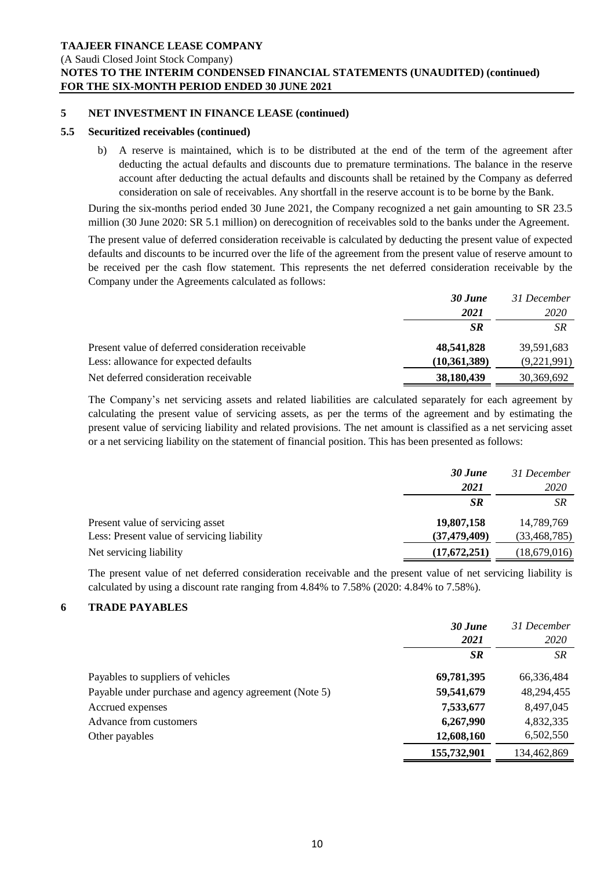(A Saudi Closed Joint Stock Company)

## **NOTES TO THE INTERIM CONDENSED FINANCIAL STATEMENTS (UNAUDITED) (continued) FOR THE SIX-MONTH PERIOD ENDED 30 JUNE 2021**

### **5 NET INVESTMENT IN FINANCE LEASE (continued)**

### **5.5 Securitized receivables (continued)**

b) A reserve is maintained, which is to be distributed at the end of the term of the agreement after deducting the actual defaults and discounts due to premature terminations. The balance in the reserve account after deducting the actual defaults and discounts shall be retained by the Company as deferred consideration on sale of receivables. Any shortfall in the reserve account is to be borne by the Bank.

During the six-months period ended 30 June 2021, the Company recognized a net gain amounting to SR 23.5 million (30 June 2020: SR 5.1 million) on derecognition of receivables sold to the banks under the Agreement.

The present value of deferred consideration receivable is calculated by deducting the present value of expected defaults and discounts to be incurred over the life of the agreement from the present value of reserve amount to be received per the cash flow statement. This represents the net deferred consideration receivable by the Company under the Agreements calculated as follows:

|                                                    | 30 June      | 31 December |
|----------------------------------------------------|--------------|-------------|
|                                                    | 2021         | 2020        |
|                                                    | SR.          | <b>SR</b>   |
| Present value of deferred consideration receivable | 48,541,828   | 39,591,683  |
| Less: allowance for expected defaults              | (10,361,389) | (9,221,991) |
| Net deferred consideration receivable              | 38,180,439   | 30,369,692  |

The Company's net servicing assets and related liabilities are calculated separately for each agreement by calculating the present value of servicing assets, as per the terms of the agreement and by estimating the present value of servicing liability and related provisions. The net amount is classified as a net servicing asset or a net servicing liability on the statement of financial position. This has been presented as follows:

|                                            | 30 June        | 31 December    |
|--------------------------------------------|----------------|----------------|
|                                            | 2021           | 2020           |
|                                            | <b>SR</b>      | SR             |
| Present value of servicing asset           | 19,807,158     | 14,789,769     |
| Less: Present value of servicing liability | (37, 479, 409) | (33, 468, 785) |
| Net servicing liability                    | (17,672,251)   | (18,679,016)   |

The present value of net deferred consideration receivable and the present value of net servicing liability is calculated by using a discount rate ranging from 4.84% to 7.58% (2020: 4.84% to 7.58%).

### **6 TRADE PAYABLES**

|                                                      | 30 June<br>2021 | 31 December<br><i>2020</i> |
|------------------------------------------------------|-----------------|----------------------------|
|                                                      | <b>SR</b>       | SR                         |
| Payables to suppliers of vehicles                    | 69,781,395      | 66,336,484                 |
| Payable under purchase and agency agreement (Note 5) | 59,541,679      | 48,294,455                 |
| Accrued expenses                                     | 7,533,677       | 8,497,045                  |
| Advance from customers                               | 6,267,990       | 4,832,335                  |
| Other payables                                       | 12,608,160      | 6,502,550                  |
|                                                      | 155,732,901     | 134.462.869                |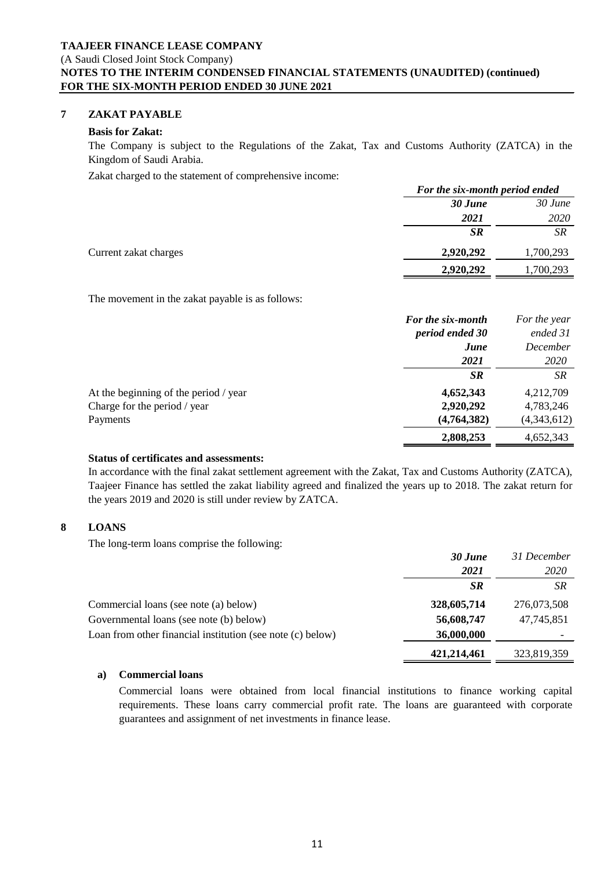(A Saudi Closed Joint Stock Company)

# **NOTES TO THE INTERIM CONDENSED FINANCIAL STATEMENTS (UNAUDITED) (continued) FOR THE SIX-MONTH PERIOD ENDED 30 JUNE 2021**

### **7 ZAKAT PAYABLE**

### **Basis for Zakat:**

The Company is subject to the Regulations of the Zakat, Tax and Customs Authority (ZATCA) in the Kingdom of Saudi Arabia.

Zakat charged to the statement of comprehensive income:

|                       | For the six-month period ended |             |
|-----------------------|--------------------------------|-------------|
|                       | 30 June                        | $30$ June   |
|                       | 2021                           | <i>2020</i> |
|                       | <b>SR</b>                      | <b>SR</b>   |
| Current zakat charges | 2,920,292                      | 1,700,293   |
|                       | 2,920,292                      | 1,700,293   |

The movement in the zakat payable is as follows:

|                                       | For the six-month | For the year |
|---------------------------------------|-------------------|--------------|
|                                       | period ended 30   | ended 31     |
|                                       | June              | December     |
|                                       | 2021              | 2020         |
|                                       | SR                | <b>SR</b>    |
| At the beginning of the period / year | 4,652,343         | 4,212,709    |
| Charge for the period / year          | 2,920,292         | 4,783,246    |
| Payments                              | (4,764,382)       | (4,343,612)  |
|                                       | 2,808,253         | 4,652,343    |

### **Status of certificates and assessments:**

In accordance with the final zakat settlement agreement with the Zakat, Tax and Customs Authority (ZATCA), Taajeer Finance has settled the zakat liability agreed and finalized the years up to 2018. The zakat return for the years 2019 and 2020 is still under review by ZATCA.

### **8 LOANS**

The long-term loans comprise the following:

|                                                            | 30 June     | 31 December |
|------------------------------------------------------------|-------------|-------------|
|                                                            | 2021        | 2020        |
|                                                            | <b>SR</b>   | <b>SR</b>   |
| Commercial loans (see note (a) below)                      | 328,605,714 | 276,073,508 |
| Governmental loans (see note (b) below)                    | 56,608,747  | 47,745,851  |
| Loan from other financial institution (see note (c) below) | 36,000,000  |             |
|                                                            | 421,214,461 | 323,819,359 |

### **a) Commercial loans**

Commercial loans were obtained from local financial institutions to finance working capital requirements. These loans carry commercial profit rate. The loans are guaranteed with corporate guarantees and assignment of net investments in finance lease.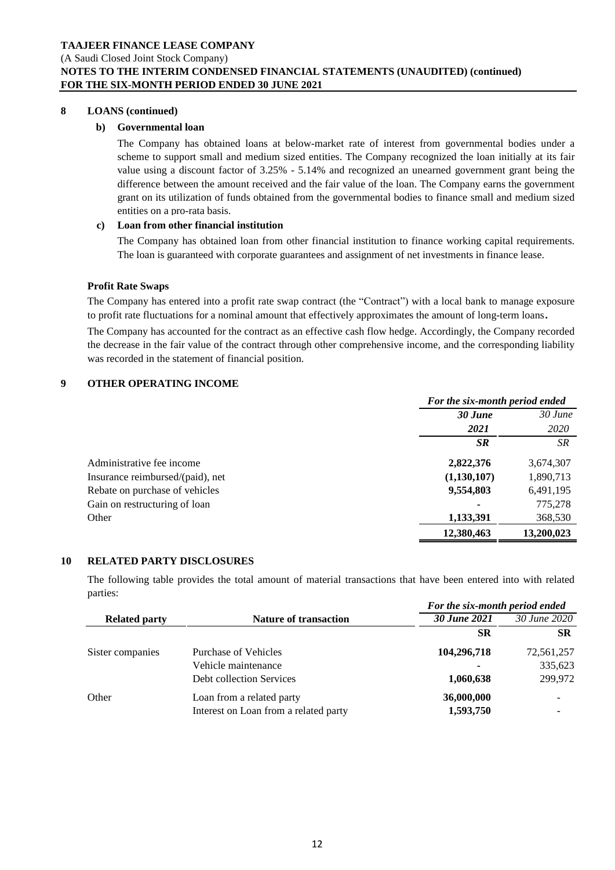### **8 LOANS (continued)**

#### **b) Governmental loan**

The Company has obtained loans at below-market rate of interest from governmental bodies under a scheme to support small and medium sized entities. The Company recognized the loan initially at its fair value using a discount factor of 3.25% - 5.14% and recognized an unearned government grant being the difference between the amount received and the fair value of the loan. The Company earns the government grant on its utilization of funds obtained from the governmental bodies to finance small and medium sized entities on a pro-rata basis.

#### **c) Loan from other financial institution**

The Company has obtained loan from other financial institution to finance working capital requirements. The loan is guaranteed with corporate guarantees and assignment of net investments in finance lease.

#### **Profit Rate Swaps**

The Company has entered into a profit rate swap contract (the "Contract") with a local bank to manage exposure to profit rate fluctuations for a nominal amount that effectively approximates the amount of long-term loans**.**

The Company has accounted for the contract as an effective cash flow hedge. Accordingly, the Company recorded the decrease in the fair value of the contract through other comprehensive income, and the corresponding liability was recorded in the statement of financial position.

### **9 OTHER OPERATING INCOME**

|                                  | For the six-month period ended |            |      |
|----------------------------------|--------------------------------|------------|------|
|                                  | 30 June                        | $30$ June  |      |
|                                  | 2021                           |            | 2020 |
|                                  | <b>SR</b>                      | <b>SR</b>  |      |
| Administrative fee income        | 2,822,376                      | 3,674,307  |      |
| Insurance reimbursed/(paid), net | (1,130,107)                    | 1,890,713  |      |
| Rebate on purchase of vehicles   | 9,554,803                      | 6,491,195  |      |
| Gain on restructuring of loan    | $\blacksquare$                 | 775,278    |      |
| Other                            | 1,133,391                      | 368,530    |      |
|                                  | 12,380,463                     | 13,200,023 |      |

### **10 RELATED PARTY DISCLOSURES**

The following table provides the total amount of material transactions that have been entered into with related parties:

|                      | <b>Nature of transaction</b>          | For the six-month period ended |              |
|----------------------|---------------------------------------|--------------------------------|--------------|
| <b>Related party</b> |                                       | <b>30 June 2021</b>            | 30 June 2020 |
|                      |                                       | <b>SR</b>                      | <b>SR</b>    |
| Sister companies     | Purchase of Vehicles                  | 104,296,718                    | 72,561,257   |
|                      | Vehicle maintenance                   |                                | 335,623      |
|                      | Debt collection Services              | 1,060,638                      | 299,972      |
| Other                | Loan from a related party             | 36,000,000                     |              |
|                      | Interest on Loan from a related party | 1,593,750                      |              |